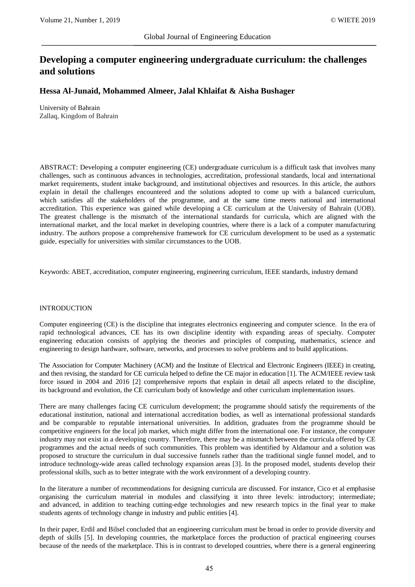# **Developing a computer engineering undergraduate curriculum: the challenges and solutions**

## **Hessa Al-Junaid, Mohammed Almeer, Jalal Khlaifat & Aisha Bushager**

University of Bahrain Zallaq, Kingdom of Bahrain

ABSTRACT: Developing a computer engineering (CE) undergraduate curriculum is a difficult task that involves many challenges, such as continuous advances in technologies, accreditation, professional standards, local and international market requirements, student intake background, and institutional objectives and resources. In this article, the authors explain in detail the challenges encountered and the solutions adopted to come up with a balanced curriculum, which satisfies all the stakeholders of the programme, and at the same time meets national and international accreditation. This experience was gained while developing a CE curriculum at the University of Bahrain (UOB). The greatest challenge is the mismatch of the international standards for curricula, which are aligned with the international market, and the local market in developing countries, where there is a lack of a computer manufacturing industry. The authors propose a comprehensive framework for CE curriculum development to be used as a systematic guide, especially for universities with similar circumstances to the UOB.

Keywords: ABET, accreditation, computer engineering, engineering curriculum, IEEE standards, industry demand

#### INTRODUCTION

Computer engineering (CE) is the discipline that integrates electronics engineering and computer science. In the era of rapid technological advances, CE has its own discipline identity with expanding areas of specialty. Computer engineering education consists of applying the theories and principles of computing, mathematics, science and engineering to design hardware, software, networks, and processes to solve problems and to build applications.

The Association for Computer Machinery (ACM) and the Institute of Electrical and Electronic Engineers (IEEE) in creating, and then revising, the standard for CE curricula helped to define the CE major in education [1]. The ACM/IEEE review task force issued in 2004 and 2016 [2] comprehensive reports that explain in detail all aspects related to the discipline, its background and evolution, the CE curriculum body of knowledge and other curriculum implementation issues.

There are many challenges facing CE curriculum development; the programme should satisfy the requirements of the educational institution, national and international accreditation bodies, as well as international professional standards and be comparable to reputable international universities. In addition, graduates from the programme should be competitive engineers for the local job market, which might differ from the international one. For instance, the computer industry may not exist in a developing country. Therefore, there may be a mismatch between the curricula offered by CE programmes and the actual needs of such communities. This problem was identified by Aldamour and a solution was proposed to structure the curriculum in dual successive funnels rather than the traditional single funnel model, and to introduce technology-wide areas called technology expansion areas [3]. In the proposed model, students develop their professional skills, such as to better integrate with the work environment of a developing country.

In the literature a number of recommendations for designing curricula are discussed. For instance, Cico et al emphasise organising the curriculum material in modules and classifying it into three levels: introductory; intermediate; and advanced, in addition to teaching cutting-edge technologies and new research topics in the final year to make students agents of technology change in industry and public entities [4].

In their paper, Erdil and Bilsel concluded that an engineering curriculum must be broad in order to provide diversity and depth of skills [5]. In developing countries, the marketplace forces the production of practical engineering courses because of the needs of the marketplace. This is in contrast to developed countries, where there is a general engineering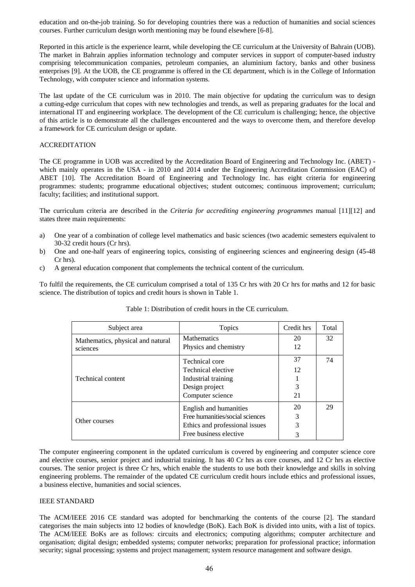education and on-the-job training. So for developing countries there was a reduction of humanities and social sciences courses. Further curriculum design worth mentioning may be found elsewhere [6-8].

Reported in this article is the experience learnt, while developing the CE curriculum at the University of Bahrain (UOB). The market in Bahrain applies information technology and computer services in support of computer-based industry comprising telecommunication companies, petroleum companies, an aluminium factory, banks and other business enterprises [9]. At the UOB, the CE programme is offered in the CE department, which is in the College of Information Technology, with computer science and information systems.

The last update of the CE curriculum was in 2010. The main objective for updating the curriculum was to design a cutting-edge curriculum that copes with new technologies and trends, as well as preparing graduates for the local and international IT and engineering workplace. The development of the CE curriculum is challenging; hence, the objective of this article is to demonstrate all the challenges encountered and the ways to overcome them, and therefore develop a framework for CE curriculum design or update.

## ACCREDITATION

The CE programme in UOB was accredited by the Accreditation Board of Engineering and Technology Inc. (ABET) which mainly operates in the USA - in 2010 and 2014 under the Engineering Accreditation Commission (EAC) of ABET [10]. The Accreditation Board of Engineering and Technology Inc. has eight criteria for engineering programmes: students; programme educational objectives; student outcomes; continuous improvement; curriculum; faculty; facilities; and institutional support.

The curriculum criteria are described in the *Criteria for accrediting engineering programmes* manual [11][12] and states three main requirements:

- a) One year of a combination of college level mathematics and basic sciences (two academic semesters equivalent to 30-32 credit hours (Cr hrs).
- b) One and one-half years of engineering topics, consisting of engineering sciences and engineering design (45-48 Cr hrs).
- c) A general education component that complements the technical content of the curriculum.

To fulfil the requirements, the CE curriculum comprised a total of 135 Cr hrs with 20 Cr hrs for maths and 12 for basic science. The distribution of topics and credit hours is shown in Table 1.

| Subject area                                  | Topics                                      | Credit hrs | Total |
|-----------------------------------------------|---------------------------------------------|------------|-------|
| Mathematics, physical and natural<br>sciences | <b>Mathematics</b><br>Physics and chemistry | 20<br>12   | 32    |
|                                               | Technical core<br>Technical elective        | 37<br>12   | 74    |
| Technical content                             | Industrial training                         |            |       |
|                                               | Design project<br>Computer science          | 3<br>21    |       |
| Other courses                                 | English and humanities                      | 20         | 29    |
|                                               | Free humanities/social sciences             | 3          |       |
|                                               | Ethics and professional issues              | 3          |       |
|                                               | Free business elective                      | 3          |       |

| Table 1: Distribution of credit hours in the CE curriculum. |  |
|-------------------------------------------------------------|--|
|-------------------------------------------------------------|--|

The computer engineering component in the updated curriculum is covered by engineering and computer science core and elective courses, senior project and industrial training. It has 40 Cr hrs as core courses, and 12 Cr hrs as elective courses. The senior project is three Cr hrs, which enable the students to use both their knowledge and skills in solving engineering problems. The remainder of the updated CE curriculum credit hours include ethics and professional issues, a business elective, humanities and social sciences.

## IEEE STANDARD

The ACM/IEEE 2016 CE standard was adopted for benchmarking the contents of the course [2]. The standard categorises the main subjects into 12 bodies of knowledge (BoK). Each BoK is divided into units, with a list of topics. The ACM/IEEE BoKs are as follows: circuits and electronics; computing algorithms; computer architecture and organisation; digital design; embedded systems; computer networks; preparation for professional practice; information security; signal processing; systems and project management; system resource management and software design.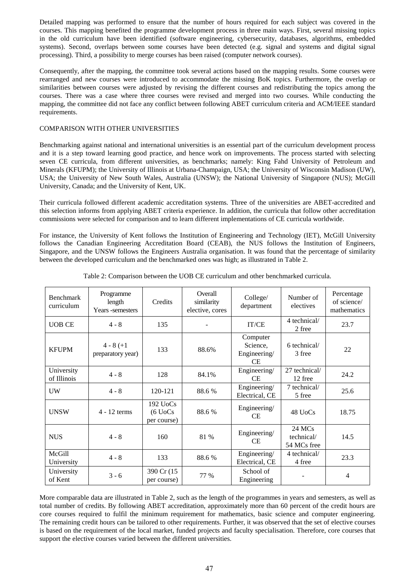Detailed mapping was performed to ensure that the number of hours required for each subject was covered in the courses. This mapping benefited the programme development process in three main ways. First, several missing topics in the old curriculum have been identified (software engineering, cybersecurity, databases, algorithms, embedded systems). Second, overlaps between some courses have been detected (e.g. signal and systems and digital signal processing). Third, a possibility to merge courses has been raised (computer network courses).

Consequently, after the mapping, the committee took several actions based on the mapping results. Some courses were rearranged and new courses were introduced to accommodate the missing BoK topics. Furthermore, the overlap or similarities between courses were adjusted by revising the different courses and redistributing the topics among the courses. There was a case where three courses were revised and merged into two courses. While conducting the mapping, the committee did not face any conflict between following ABET curriculum criteria and ACM/IEEE standard requirements.

## COMPARISON WITH OTHER UNIVERSITIES

Benchmarking against national and international universities is an essential part of the curriculum development process and it is a step toward learning good practice, and hence work on improvements. The process started with selecting seven CE curricula, from different universities, as benchmarks; namely: King Fahd University of Petroleum and Minerals (KFUPM); the University of Illinois at Urbana-Champaign, USA; the University of Wisconsin Madison (UW), USA; the University of New South Wales, Australia (UNSW); the National University of Singapore (NUS); McGill University, Canada; and the University of Kent, UK.

Their curricula followed different academic accreditation systems. Three of the universities are ABET-accredited and this selection informs from applying ABET criteria experience. In addition, the curricula that follow other accreditation commissions were selected for comparison and to learn different implementations of CE curricula worldwide.

For instance, the University of Kent follows the Institution of Engineering and Technology (IET), McGill University follows the Canadian Engineering Accreditation Board (CEAB), the NUS follows the Institution of Engineers, Singapore, and the UNSW follows the Engineers Australia organisation. It was found that the percentage of similarity between the developed curriculum and the benchmarked ones was high; as illustrated in Table 2.

| <b>Benchmark</b><br>curriculum | Programme<br>length<br>Years -semesters | Credits                                       | Overall<br>similarity<br>elective, cores | College/<br>department                     | Number of<br>electives              | Percentage<br>of science/<br>mathematics |
|--------------------------------|-----------------------------------------|-----------------------------------------------|------------------------------------------|--------------------------------------------|-------------------------------------|------------------------------------------|
| <b>UOB CE</b>                  | $4 - 8$                                 | 135                                           |                                          | IT/CE                                      | 4 technical/<br>2 free              | 23.7                                     |
| <b>KFUPM</b>                   | $4 - 8 (+1)$<br>preparatory year)       | 133                                           | 88.6%                                    | Computer<br>Science.<br>Engineering/<br>CE | 6 technical/<br>3 free              | 22                                       |
| University<br>of Illinois      | $4 - 8$                                 | 128                                           | 84.1%                                    | Engineering/<br>CE.                        | 27 technical/<br>12 free            | 24.2                                     |
| UW                             | $4 - 8$                                 | 120-121                                       | 88.6%                                    | Engineering/<br>Electrical, CE             | 7 technical/<br>5 free              | 25.6                                     |
| <b>UNSW</b>                    | $4 - 12$ terms                          | $192 \text{UoCs}$<br>$(6$ UoCs<br>per course) | 88.6%                                    | Engineering/<br><b>CE</b>                  | 48 UoCs                             | 18.75                                    |
| <b>NUS</b>                     | $4 - 8$                                 | 160                                           | 81 %                                     | Engineering/<br>CE                         | 24 MCs<br>technical/<br>54 MCs free | 14.5                                     |
| McGill<br>University           | $4 - 8$                                 | 133                                           | 88.6%                                    | Engineering/<br>Electrical, CE             | 4 technical/<br>4 free              | 23.3                                     |
| University<br>of Kent          | $3 - 6$                                 | 390 Cr (15)<br>per course)                    | 77 %                                     | School of<br>Engineering                   |                                     | 4                                        |

Table 2: Comparison between the UOB CE curriculum and other benchmarked curricula.

More comparable data are illustrated in Table 2, such as the length of the programmes in years and semesters, as well as total number of credits. By following ABET accreditation, approximately more than 60 percent of the credit hours are core courses required to fulfil the minimum requirement for mathematics, basic science and computer engineering. The remaining credit hours can be tailored to other requirements. Further, it was observed that the set of elective courses is based on the requirement of the local market, funded projects and faculty specialisation. Therefore, core courses that support the elective courses varied between the different universities.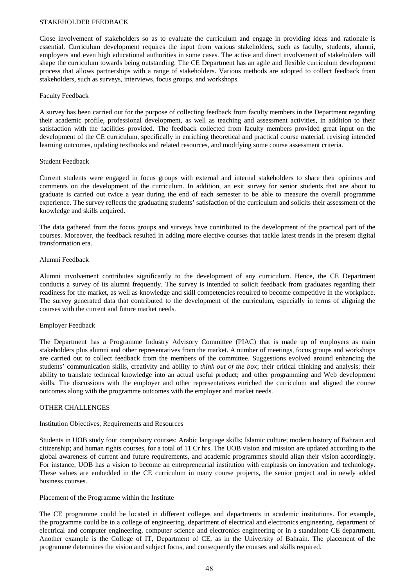#### STAKEHOLDER FEEDBACK

Close involvement of stakeholders so as to evaluate the curriculum and engage in providing ideas and rationale is essential. Curriculum development requires the input from various stakeholders, such as faculty, students, alumni, employers and even high educational authorities in some cases. The active and direct involvement of stakeholders will shape the curriculum towards being outstanding. The CE Department has an agile and flexible curriculum development process that allows partnerships with a range of stakeholders. Various methods are adopted to collect feedback from stakeholders, such as surveys, interviews, focus groups, and workshops.

## Faculty Feedback

A survey has been carried out for the purpose of collecting feedback from faculty members in the Department regarding their academic profile, professional development, as well as teaching and assessment activities, in addition to their satisfaction with the facilities provided. The feedback collected from faculty members provided great input on the development of the CE curriculum, specifically in enriching theoretical and practical course material, revising intended learning outcomes, updating textbooks and related resources, and modifying some course assessment criteria.

## Student Feedback

Current students were engaged in focus groups with external and internal stakeholders to share their opinions and comments on the development of the curriculum. In addition, an exit survey for senior students that are about to graduate is carried out twice a year during the end of each semester to be able to measure the overall programme experience. The survey reflects the graduating students' satisfaction of the curriculum and solicits their assessment of the knowledge and skills acquired.

The data gathered from the focus groups and surveys have contributed to the development of the practical part of the courses. Moreover, the feedback resulted in adding more elective courses that tackle latest trends in the present digital transformation era.

## Alumni Feedback

Alumni involvement contributes significantly to the development of any curriculum. Hence, the CE Department conducts a survey of its alumni frequently. The survey is intended to solicit feedback from graduates regarding their readiness for the market, as well as knowledge and skill competencies required to become competitive in the workplace. The survey generated data that contributed to the development of the curriculum, especially in terms of aligning the courses with the current and future market needs.

## Employer Feedback

The Department has a Programme Industry Advisory Committee (PIAC) that is made up of employers as main stakeholders plus alumni and other representatives from the market. A number of meetings, focus groups and workshops are carried out to collect feedback from the members of the committee. Suggestions evolved around enhancing the students' communication skills, creativity and ability to *think out of the box*; their critical thinking and analysis; their ability to translate technical knowledge into an actual useful product; and other programming and Web development skills. The discussions with the employer and other representatives enriched the curriculum and aligned the course outcomes along with the programme outcomes with the employer and market needs.

#### OTHER CHALLENGES

#### Institution Objectives, Requirements and Resources

Students in UOB study four compulsory courses: Arabic language skills; Islamic culture; modern history of Bahrain and citizenship; and human rights courses, for a total of 11 Cr hrs. The UOB vision and mission are updated according to the global awareness of current and future requirements, and academic programmes should align their vision accordingly. For instance, UOB has a vision to become an entrepreneurial institution with emphasis on innovation and technology. These values are embedded in the CE curriculum in many course projects, the senior project and in newly added business courses.

#### Placement of the Programme within the Institute

The CE programme could be located in different colleges and departments in academic institutions. For example, the programme could be in a college of engineering, department of electrical and electronics engineering, department of electrical and computer engineering, computer science and electronics engineering or in a standalone CE department. Another example is the College of IT, Department of CE, as in the University of Bahrain. The placement of the programme determines the vision and subject focus, and consequently the courses and skills required.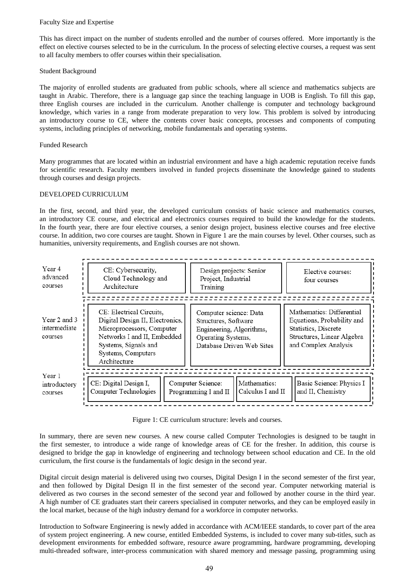#### Faculty Size and Expertise

This has direct impact on the number of students enrolled and the number of courses offered. More importantly is the effect on elective courses selected to be in the curriculum. In the process of selecting elective courses, a request was sent to all faculty members to offer courses within their specialisation.

## Student Background

The majority of enrolled students are graduated from public schools, where all science and mathematics subjects are taught in Arabic. Therefore, there is a language gap since the teaching language in UOB is English. To fill this gap, three English courses are included in the curriculum. Another challenge is computer and technology background knowledge, which varies in a range from moderate preparation to very low. This problem is solved by introducing an introductory course to CE, where the contents cover basic concepts, processes and components of computing systems, including principles of networking, mobile fundamentals and operating systems.

## Funded Research

Many programmes that are located within an industrial environment and have a high academic reputation receive funds for scientific research. Faculty members involved in funded projects disseminate the knowledge gained to students through courses and design projects.

## DEVELOPED CURRICULUM

In the first, second, and third year, the developed curriculum consists of basic science and mathematics courses, an introductory CE course, and electrical and electronics courses required to build the knowledge for the students. In the fourth year, there are four elective courses, a senior design project, business elective courses and free elective course. In addition, two core courses are taught. Shown in Figure 1 are the main courses by level. Other courses, such as humanities, university requirements, and English courses are not shown.



Figure 1: CE curriculum structure: levels and courses.

In summary, there are seven new courses. A new course called Computer Technologies is designed to be taught in the first semester, to introduce a wide range of knowledge areas of CE for the fresher. In addition, this course is designed to bridge the gap in knowledge of engineering and technology between school education and CE. In the old curriculum, the first course is the fundamentals of logic design in the second year.

Digital circuit design material is delivered using two courses, Digital Design I in the second semester of the first year, and then followed by Digital Design II in the first semester of the second year. Computer networking material is delivered as two courses in the second semester of the second year and followed by another course in the third year. A high number of CE graduates start their careers specialised in computer networks, and they can be employed easily in the local market, because of the high industry demand for a workforce in computer networks.

Introduction to Software Engineering is newly added in accordance with ACM/IEEE standards, to cover part of the area of system project engineering. A new course, entitled Embedded Systems, is included to cover many sub-titles, such as development environments for embedded software, resource aware programming, hardware programming, developing multi-threaded software, inter-process communication with shared memory and message passing, programming using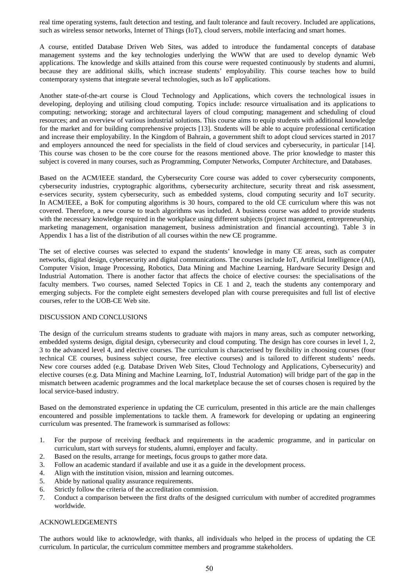real time operating systems, fault detection and testing, and fault tolerance and fault recovery. Included are applications, such as wireless sensor networks, Internet of Things (IoT), cloud servers, mobile interfacing and smart homes.

A course, entitled Database Driven Web Sites, was added to introduce the fundamental concepts of database management systems and the key technologies underlying the WWW that are used to develop dynamic Web applications. The knowledge and skills attained from this course were requested continuously by students and alumni, because they are additional skills, which increase students' employability. This course teaches how to build contemporary systems that integrate several technologies, such as IoT applications.

Another state-of-the-art course is Cloud Technology and Applications, which covers the technological issues in developing, deploying and utilising cloud computing. Topics include: resource virtualisation and its applications to computing; networking; storage and architectural layers of cloud computing; management and scheduling of cloud resources; and an overview of various industrial solutions. This course aims to equip students with additional knowledge for the market and for building comprehensive projects [13]. Students will be able to acquire professional certification and increase their employability. In the Kingdom of Bahrain, a government shift to adopt cloud services started in 2017 and employers announced the need for specialists in the field of cloud services and cybersecurity, in particular [14]. This course was chosen to be the core course for the reasons mentioned above. The prior knowledge to master this subject is covered in many courses, such as Programming, Computer Networks, Computer Architecture, and Databases.

Based on the ACM/IEEE standard, the Cybersecurity Core course was added to cover cybersecurity components, cybersecurity industries, cryptographic algorithms, cybersecurity architecture, security threat and risk assessment, e-services security, system cybersecurity, such as embedded systems, cloud computing security and IoT security. In ACM/IEEE, a BoK for computing algorithms is 30 hours, compared to the old CE curriculum where this was not covered. Therefore, a new course to teach algorithms was included. A business course was added to provide students with the necessary knowledge required in the workplace using different subjects (project management, entrepreneurship, marketing management, organisation management, business administration and financial accounting). Table 3 in Appendix 1 has a list of the distribution of all courses within the new CE programme.

The set of elective courses was selected to expand the students' knowledge in many CE areas, such as computer networks, digital design, cybersecurity and digital communications. The courses include IoT, Artificial Intelligence (AI), Computer Vision, Image Processing, Robotics, Data Mining and Machine Learning, Hardware Security Design and Industrial Automation. There is another factor that affects the choice of elective courses: the specialisations of the faculty members. Two courses, named Selected Topics in CE 1 and 2, teach the students any contemporary and emerging subjects. For the complete eight semesters developed plan with course prerequisites and full list of elective courses, refer to the UOB-CE Web site.

## DISCUSSION AND CONCLUSIONS

The design of the curriculum streams students to graduate with majors in many areas, such as computer networking, embedded systems design, digital design, cybersecurity and cloud computing. The design has core courses in level 1, 2, 3 to the advanced level 4, and elective courses. The curriculum is characterised by flexibility in choosing courses (four technical CE courses, business subject course, free elective courses) and is tailored to different students' needs. New core courses added (e.g. Database Driven Web Sites, Cloud Technology and Applications, Cybersecurity) and elective courses (e.g. Data Mining and Machine Learning, IoT, Industrial Automation) will bridge part of the gap in the mismatch between academic programmes and the local marketplace because the set of courses chosen is required by the local service-based industry.

Based on the demonstrated experience in updating the CE curriculum, presented in this article are the main challenges encountered and possible implementations to tackle them. A framework for developing or updating an engineering curriculum was presented. The framework is summarised as follows:

- 1. For the purpose of receiving feedback and requirements in the academic programme, and in particular on curriculum, start with surveys for students, alumni, employer and faculty.
- 2. Based on the results, arrange for meetings, focus groups to gather more data.
- 3. Follow an academic standard if available and use it as a guide in the development process.
- 4. Align with the institution vision, mission and learning outcomes.
- 5. Abide by national quality assurance requirements.
- 6. Strictly follow the criteria of the accreditation commission.
- 7. Conduct a comparison between the first drafts of the designed curriculum with number of accredited programmes worldwide.

#### ACKNOWLEDGEMENTS

The authors would like to acknowledge, with thanks, all individuals who helped in the process of updating the CE curriculum. In particular, the curriculum committee members and programme stakeholders.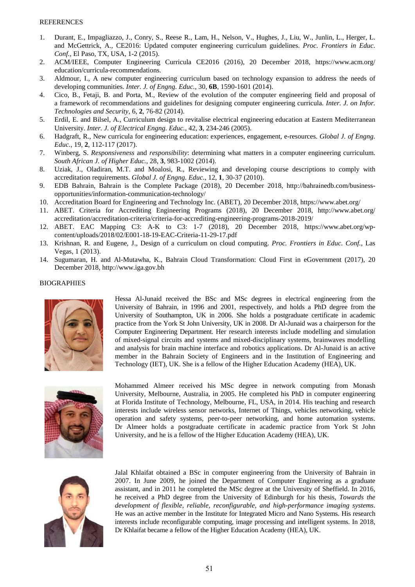- 1. Durant, E., Impagliazzo, J., Conry, S., Reese R., Lam, H., Nelson, V., Hughes, J., Liu, W., Junlin, L., Herger, L. and McGettrick, A., CE2016: Updated computer engineering curriculum guidelines. *Proc. Frontiers in Educ. Conf.*, El Paso, TX, USA, 1-2 (2015).
- 2. ACM/IEEE, Computer Engineering Curricula CE2016 (2016), 20 December 2018, https://www.acm.org/ education/curricula-recommendations.
- 3. Aldmour, I., A new computer engineering curriculum based on technology expansion to address the needs of developing communities. *Inter. J. of Engng. Educ.,* 30, **6B**, 1590-1601 (2014).
- 4. Cico, B., Fetaji, B. and Porta, M., Review of the evolution of the computer engineering field and proposal of a framework of recommendations and guidelines for designing computer engineering curricula. *Inter. J. on Infor. Technologies and Security*, 6, **2**, 76-82 (2014).
- 5. Erdil, E. and Bilsel, A., Curriculum design to revitalise electrical engineering education at Eastern Mediterranean University. *Inter. J. of Electrical Engng. Educ.*, 42, **3**, 234-246 (2005).
- 6. Hadgraft, R., New curricula for engineering education: experiences, engagement, e-resources. *Global J. of Engng. Educ.*, 19, **2**, 112-117 (2017).
- 7. Winberg, S. *Responsiveness* and *responsibility*: determining what matters in a computer engineering curriculum. *South African J. of Higher Educ.*, 28, **3**, 983-1002 (2014).
- 8. Uziak, J., Oladiran, M.T. and Moalosi, R., Reviewing and developing course descriptions to comply with accreditation requirements. *Global J. of Engng. Educ.*, 12, **1**, 30-37 (2010).
- 9. EDB Bahrain, Bahrain is the Complete Package (2018), 20 December 2018, http://bahrainedb.com/businessopportunities/information-communication-technology/
- 10. Accreditation Board for Engineering and Technology Inc. (ABET), 20 December 2018, https://www.abet.org/
- 11. ABET. Criteria for Accrediting Engineering Programs (2018), 20 December 2018, http://www.abet.org/ accreditation/accreditation-criteria/criteria-for-accrediting-engineering-programs-2018-2019/
- 12. ABET. EAC Mapping C3: A-K to C3: 1-7 (2018), 20 December 2018, https://www.abet.org/wpcontent/uploads/2018/02/E001-18-19-EAC-Criteria-11-29-17.pdf
- 13. Krishnan, R. and Eugene, J., Design of a curriculum on cloud computing. *Proc. Frontiers in Educ. Conf.*, Las Vegas, 1 (2013).
- 14. Sugumaran, H. and Al-Mutawha, K., Bahrain Cloud Transformation: Cloud First in eGovernment (2017), 20 December 2018, http://www.iga.gov.bh

## BIOGRAPHIES



Hessa Al-Junaid received the BSc and MSc degrees in electrical engineering from the University of Bahrain, in 1996 and 2001, respectively, and holds a PhD degree from the University of Southampton, UK in 2006. She holds a postgraduate certificate in academic practice from the York St John University, UK in 2008. Dr Al-Junaid was a chairperson for the Computer Engineering Department. Her research interests include modelling and simulation of mixed-signal circuits and systems and mixed-disciplinary systems, brainwaves modelling and analysis for brain machine interface and robotics applications. Dr Al-Junaid is an active member in the Bahrain Society of Engineers and in the Institution of Engineering and Technology (IET), UK. She is a fellow of the Higher Education Academy (HEA), UK.



Mohammed Almeer received his MSc degree in network computing from Monash University, Melbourne, Australia, in 2005. He completed his PhD in computer engineering at Florida Institute of Technology, Melbourne, FL, USA, in 2014. His teaching and research interests include wireless sensor networks, Internet of Things, vehicles networking, vehicle operation and safety systems, peer-to-peer networking, and home automation systems. Dr Almeer holds a postgraduate certificate in academic practice from York St John University, and he is a fellow of the Higher Education Academy (HEA), UK.



Jalal Khlaifat obtained a BSc in computer engineering from the University of Bahrain in 2007. In June 2009, he joined the Department of Computer Engineering as a graduate assistant, and in 2011 he completed the MSc degree at the University of Sheffield. In 2016, he received a PhD degree from the University of Edinburgh for his thesis, *Towards the development of flexible, reliable, reconfigurable, and high-performance imaging systems*. He was an active member in the Institute for Integrated Micro and Nano Systems. His research interests include reconfigurable computing, image processing and intelligent systems. In 2018, Dr Khlaifat became a fellow of the Higher Education Academy (HEA), UK.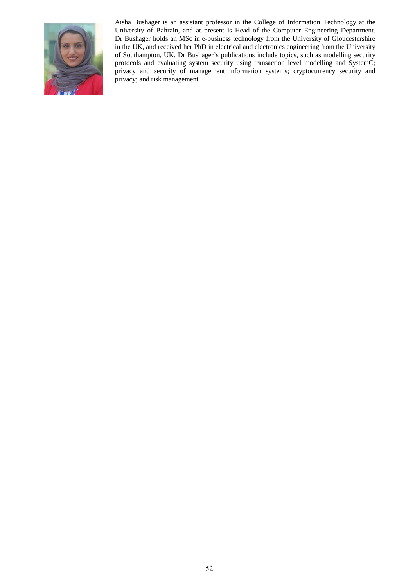

Aisha Bushager is an assistant professor in the College of Information Technology at the University of Bahrain, and at present is Head of the Computer Engineering Department. Dr Bushager holds an MSc in e-business technology from the University of Gloucestershire in the UK, and received her PhD in electrical and electronics engineering from the University of Southampton, UK. Dr Bushager's publications include topics, such as modelling security protocols and evaluating system security using transaction level modelling and SystemC; privacy and security of management information systems; cryptocurrency security and privacy; and risk management.